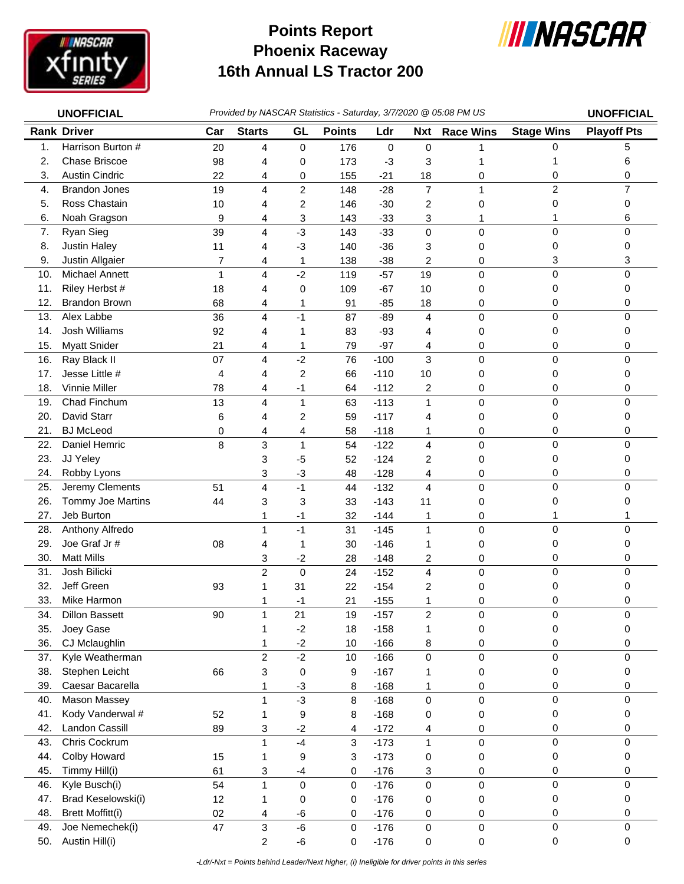

## **Phoenix Raceway 16th Annual LS Tractor 200 Points Report**



|     | <b>UNOFFICIAL</b>       |     | Provided by NASCAR Statistics - Saturday, 3/7/2020 @ 05:08 PM US |                |               |             |                |                  |                   |                    |
|-----|-------------------------|-----|------------------------------------------------------------------|----------------|---------------|-------------|----------------|------------------|-------------------|--------------------|
|     | <b>Rank Driver</b>      | Car | <b>Starts</b>                                                    | GL             | <b>Points</b> | Ldr         | <b>Nxt</b>     | <b>Race Wins</b> | <b>Stage Wins</b> | <b>Playoff Pts</b> |
| 1.  | Harrison Burton #       | 20  | 4                                                                | 0              | 176           | $\mathsf 0$ | $\pmb{0}$      |                  | 0                 | 5                  |
| 2.  | <b>Chase Briscoe</b>    | 98  | 4                                                                | 0              | 173           | $-3$        | 3              |                  | 1                 | 6                  |
| 3.  | <b>Austin Cindric</b>   | 22  | 4                                                                | 0              | 155           | $-21$       | 18             | 0                | 0                 | 0                  |
| 4.  | <b>Brandon Jones</b>    | 19  | 4                                                                | 2              | 148           | $-28$       | $\overline{7}$ | 1                | $\overline{c}$    | $\overline{7}$     |
| 5.  | Ross Chastain           | 10  | 4                                                                | 2              | 146           | $-30$       | 2              | 0                | 0                 | 0                  |
| 6.  | Noah Gragson            | 9   | 4                                                                | 3              | 143           | $-33$       | 3              | 1                | 1                 | 6                  |
| 7.  | Ryan Sieg               | 39  | 4                                                                | $-3$           | 143           | $-33$       | $\pmb{0}$      | 0                | 0                 | 0                  |
| 8.  | Justin Haley            | 11  | 4                                                                | $-3$           | 140           | $-36$       | 3              | 0                | 0                 | 0                  |
| 9.  | Justin Allgaier         | 7   | 4                                                                | 1              | 138           | $-38$       | 2              | 0                | 3                 | 3                  |
| 10. | Michael Annett          | 1   | 4                                                                | $-2$           | 119           | $-57$       | 19             | 0                | 0                 | 0                  |
| 11. | Riley Herbst #          | 18  | 4                                                                | 0              | 109           | $-67$       | 10             | 0                | 0                 | 0                  |
| 12. | <b>Brandon Brown</b>    | 68  | 4                                                                | 1              | 91            | $-85$       | 18             | 0                | 0                 | 0                  |
| 13. | Alex Labbe              | 36  | 4                                                                | $-1$           | 87            | $-89$       | $\overline{4}$ | 0                | 0                 | 0                  |
| 14. | <b>Josh Williams</b>    | 92  | 4                                                                | 1              | 83            | $-93$       | 4              | 0                | 0                 | 0                  |
| 15. | <b>Myatt Snider</b>     | 21  | 4                                                                | 1              | 79            | $-97$       | 4              | 0                | 0                 | 0                  |
| 16. | Ray Black II            | 07  | 4                                                                | $-2$           | 76            | $-100$      | 3              | 0                | 0                 | $\Omega$           |
| 17. | Jesse Little #          | 4   | 4                                                                | $\overline{c}$ | 66            | $-110$      | 10             | 0                | 0                 | 0                  |
| 18. | <b>Vinnie Miller</b>    | 78  | 4                                                                | $-1$           | 64            | $-112$      | 2              | 0                | 0                 | 0                  |
| 19. | Chad Finchum            | 13  | 4                                                                | $\mathbf{1}$   | 63            | $-113$      | 1              | 0                | 0                 | 0                  |
| 20. | David Starr             | 6   | 4                                                                | 2              | 59            | $-117$      | 4              | 0                | 0                 | 0                  |
| 21. | <b>BJ</b> McLeod        | 0   | 4                                                                | 4              | 58            | $-118$      | 1              | 0                | 0                 | 0                  |
| 22. | Daniel Hemric           | 8   | 3                                                                | 1              | 54            | $-122$      | 4              | 0                | 0                 | 0                  |
| 23. | JJ Yeley                |     | 3                                                                | $-5$           | 52            | $-124$      | 2              | 0                | 0                 | 0                  |
| 24. | Robby Lyons             |     | 3                                                                | $-3$           | 48            | $-128$      | 4              | 0                | 0                 | 0                  |
| 25. | Jeremy Clements         | 51  | 4                                                                | $-1$           | 44            | $-132$      | 4              | 0                | 0                 | 0                  |
| 26. | Tommy Joe Martins       | 44  | 3                                                                | 3              | 33            | $-143$      | 11             | 0                | 0                 | 0                  |
| 27. | Jeb Burton              |     | 1                                                                | -1             | 32            | $-144$      | 1              | 0                | 1                 | 1                  |
| 28. | Anthony Alfredo         |     | $\mathbf{1}$                                                     | $-1$           | 31            | $-145$      | $\mathbf{1}$   | 0                | 0                 | 0                  |
| 29. | Joe Graf Jr#            | 08  | 4                                                                | 1              | 30            | $-146$      | 1              | 0                | 0                 | 0                  |
| 30. | <b>Matt Mills</b>       |     | 3                                                                | $-2$           | 28            | $-148$      | 2              | 0                | 0                 | 0                  |
| 31. | Josh Bilicki            |     | $\overline{c}$                                                   | $\pmb{0}$      | 24            | $-152$      | 4              | 0                | 0                 | 0                  |
| 32. | Jeff Green              | 93  | 1                                                                | 31             | 22            | $-154$      | 2              | 0                | 0                 | 0                  |
| 33. | Mike Harmon             |     | 1                                                                | -1             | 21            | $-155$      | 1              | 0                | 0                 | 0                  |
| 34. | <b>Dillon Bassett</b>   | 90  | $\mathbf{1}$                                                     | 21             | 19            | $-157$      | $\overline{c}$ | 0                | 0                 | 0                  |
| 35. | Joey Gase               |     | 1                                                                | $-2$           | 18            | $-158$      | 1              | 0                | 0                 | 0                  |
| 36. | CJ Mclaughlin           |     | 1                                                                | $-2$           | 10            | $-166$      | 8              | 0                | 0                 | 0                  |
| 37. | Kyle Weatherman         |     | $\overline{c}$                                                   | $-2$           | 10            | $-166$      | $\mathsf 0$    | 0                | 0                 | 0                  |
| 38. | Stephen Leicht          | 66  | 3                                                                | 0              | 9             | $-167$      |                | 0                | 0                 | 0                  |
| 39. | Caesar Bacarella        |     | 1                                                                | $-3$           | 8             | $-168$      | 1              | 0                | 0                 | 0                  |
| 40. | Mason Massey            |     | 1                                                                | $-3$           | 8             | $-168$      | $\mathsf 0$    | 0                | 0                 | 0                  |
| 41. | Kody Vanderwal #        | 52  | 1                                                                | 9              | 8             | $-168$      | 0              | 0                | 0                 | 0                  |
| 42. | Landon Cassill          | 89  | 3                                                                | $-2$           | 4             | $-172$      | 4              | 0                | 0                 | 0                  |
| 43. | Chris Cockrum           |     | 1                                                                | $-4$           | 3             | $-173$      | $\mathbf{1}$   | 0                | 0                 | 0                  |
| 44. | Colby Howard            | 15  | 1                                                                | 9              | 3             | $-173$      | 0              | 0                | 0                 | 0                  |
| 45. | Timmy Hill(i)           | 61  | 3                                                                | $-4$           | 0             | $-176$      | 3              | 0                | 0                 | 0                  |
| 46. | Kyle Busch(i)           | 54  | 1                                                                | 0              | 0             | $-176$      | $\mathsf 0$    | 0                | 0                 | 0                  |
| 47. | Brad Keselowski(i)      | 12  | 1                                                                | 0              | 0             | $-176$      | 0              | 0                | 0                 | 0                  |
| 48. | <b>Brett Moffitt(i)</b> | 02  | 4                                                                | $-6$           | 0             | $-176$      | 0              | 0                | 0                 | 0                  |
| 49. | Joe Nemechek(i)         | 47  | 3                                                                | $-6$           | 0             | $-176$      | 0              | 0                | 0                 | 0                  |
| 50. | Austin Hill(i)          |     | 2                                                                | $-6$           | 0             | $-176$      | 0              | 0                | 0                 | 0                  |